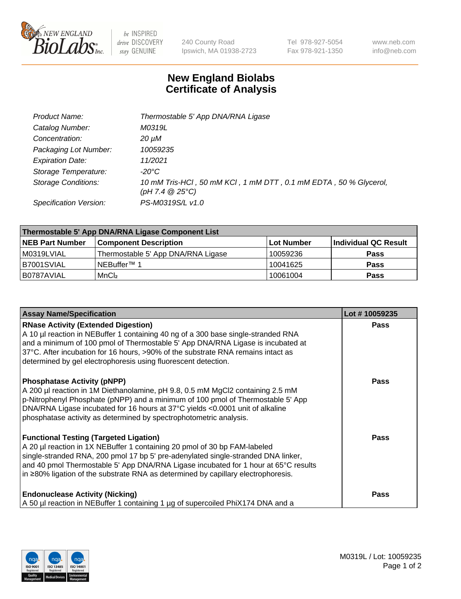

 $be$  INSPIRED drive DISCOVERY stay GENUINE

240 County Road Ipswich, MA 01938-2723 Tel 978-927-5054 Fax 978-921-1350 www.neb.com info@neb.com

## **New England Biolabs Certificate of Analysis**

| Product Name:              | Thermostable 5' App DNA/RNA Ligase                                                    |
|----------------------------|---------------------------------------------------------------------------------------|
| Catalog Number:            | M0319L                                                                                |
| Concentration:             | 20 µM                                                                                 |
| Packaging Lot Number:      | 10059235                                                                              |
| <b>Expiration Date:</b>    | 11/2021                                                                               |
| Storage Temperature:       | -20°C                                                                                 |
| <b>Storage Conditions:</b> | 10 mM Tris-HCl, 50 mM KCl, 1 mM DTT, 0.1 mM EDTA, 50 % Glycerol,<br>(pH 7.4 $@25°C$ ) |
| Specification Version:     | PS-M0319S/L v1.0                                                                      |

| Thermostable 5' App DNA/RNA Ligase Component List |                                    |            |                      |  |
|---------------------------------------------------|------------------------------------|------------|----------------------|--|
| <b>NEB Part Number</b>                            | <b>Component Description</b>       | Lot Number | Individual QC Result |  |
| M0319LVIAL                                        | Thermostable 5' App DNA/RNA Ligase | 10059236   | <b>Pass</b>          |  |
| B7001SVIAL                                        | 'NEBuffer™ 1                       | 10041625   | <b>Pass</b>          |  |
| IB0787AVIAL                                       | MnCl <sub>2</sub>                  | 10061004   | <b>Pass</b>          |  |

| <b>Assay Name/Specification</b>                                                                                                                                                                                                                                                                                                                                                             | Lot #10059235 |
|---------------------------------------------------------------------------------------------------------------------------------------------------------------------------------------------------------------------------------------------------------------------------------------------------------------------------------------------------------------------------------------------|---------------|
| <b>RNase Activity (Extended Digestion)</b><br>A 10 µl reaction in NEBuffer 1 containing 40 ng of a 300 base single-stranded RNA<br>and a minimum of 100 pmol of Thermostable 5' App DNA/RNA Ligase is incubated at<br>37°C. After incubation for 16 hours, >90% of the substrate RNA remains intact as<br>determined by gel electrophoresis using fluorescent detection.                    | <b>Pass</b>   |
| <b>Phosphatase Activity (pNPP)</b><br>A 200 µl reaction in 1M Diethanolamine, pH 9.8, 0.5 mM MgCl2 containing 2.5 mM<br>p-Nitrophenyl Phosphate (pNPP) and a minimum of 100 pmol of Thermostable 5' App<br>DNA/RNA Ligase incubated for 16 hours at 37°C yields <0.0001 unit of alkaline<br>phosphatase activity as determined by spectrophotometric analysis.                              | <b>Pass</b>   |
| <b>Functional Testing (Targeted Ligation)</b><br>A 20 µl reaction in 1X NEBuffer 1 containing 20 pmol of 30 bp FAM-labeled<br>single-stranded RNA, 200 pmol 17 bp 5' pre-adenylated single-stranded DNA linker,<br>and 40 pmol Thermostable 5' App DNA/RNA Ligase incubated for 1 hour at 65°C results<br>in ≥80% ligation of the substrate RNA as determined by capillary electrophoresis. | Pass          |
| <b>Endonuclease Activity (Nicking)</b><br>A 50 µl reaction in NEBuffer 1 containing 1 µg of supercoiled PhiX174 DNA and a                                                                                                                                                                                                                                                                   | <b>Pass</b>   |